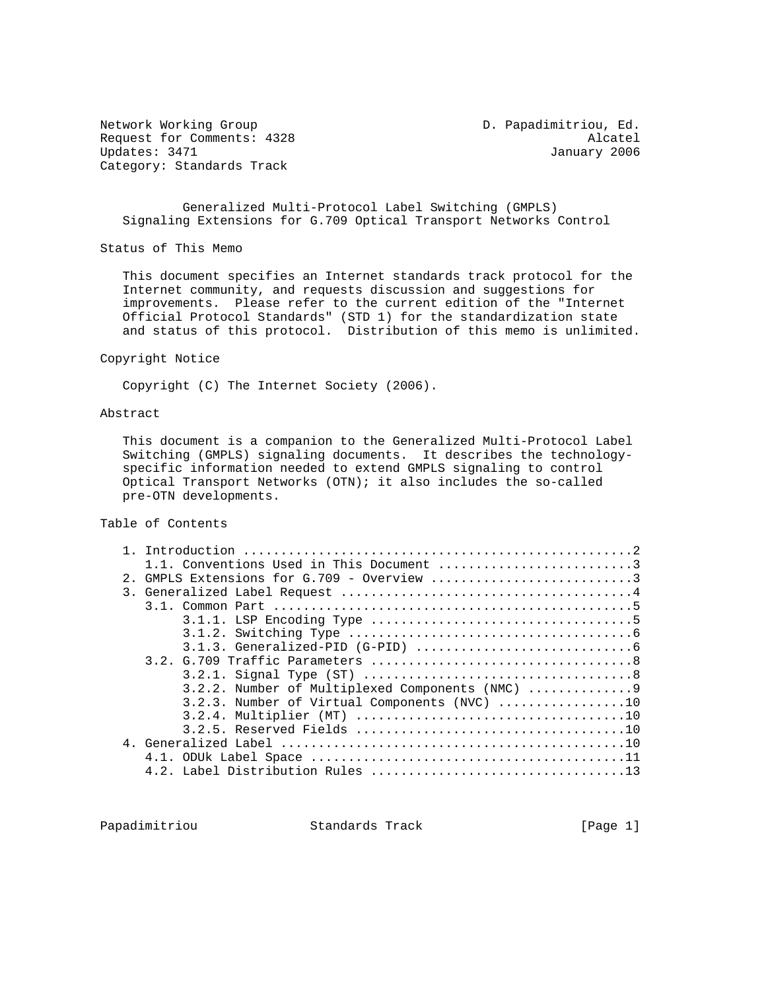Network Working Group D. Papadimitriou, Ed. Request for Comments: 4328 Alcatel<br>Updates: 3471 Alcatel Updates: 3471 Category: Standards Track

January 2006

 Generalized Multi-Protocol Label Switching (GMPLS) Signaling Extensions for G.709 Optical Transport Networks Control

Status of This Memo

 This document specifies an Internet standards track protocol for the Internet community, and requests discussion and suggestions for improvements. Please refer to the current edition of the "Internet Official Protocol Standards" (STD 1) for the standardization state and status of this protocol. Distribution of this memo is unlimited.

Copyright Notice

Copyright (C) The Internet Society (2006).

#### Abstract

 This document is a companion to the Generalized Multi-Protocol Label Switching (GMPLS) signaling documents. It describes the technology specific information needed to extend GMPLS signaling to control Optical Transport Networks (OTN); it also includes the so-called pre-OTN developments.

Table of Contents

|     | 1.1. Conventions Used in This Document 3        |
|-----|-------------------------------------------------|
| 2.1 | GMPLS Extensions for G.709 - Overview 3         |
|     |                                                 |
|     |                                                 |
|     |                                                 |
|     |                                                 |
|     |                                                 |
|     |                                                 |
|     |                                                 |
|     |                                                 |
|     | $3.2.3$ . Number of Virtual Components (NVC) 10 |
|     |                                                 |
|     |                                                 |
|     |                                                 |
|     |                                                 |
|     |                                                 |
|     |                                                 |

Papadimitriou Standards Track [Page 1]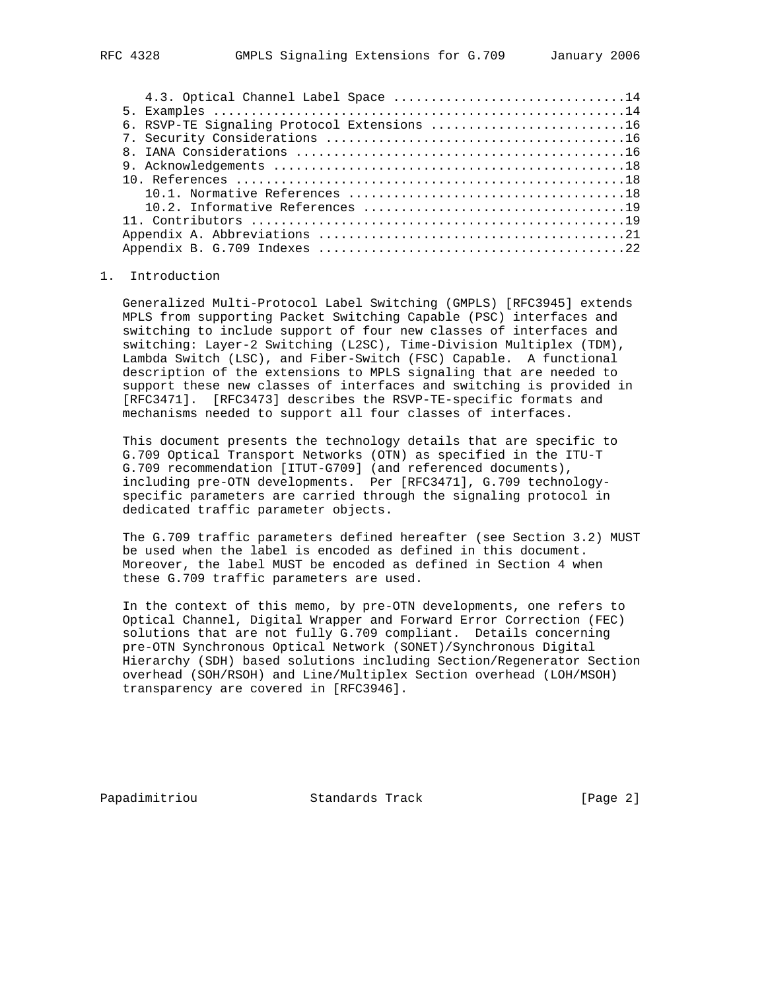| 4.3. Optical Channel Label Space 14         |
|---------------------------------------------|
|                                             |
| 6. RSVP-TE Signaling Protocol Extensions 16 |
|                                             |
|                                             |
|                                             |
|                                             |
|                                             |
|                                             |
|                                             |
|                                             |
|                                             |
|                                             |

# 1. Introduction

 Generalized Multi-Protocol Label Switching (GMPLS) [RFC3945] extends MPLS from supporting Packet Switching Capable (PSC) interfaces and switching to include support of four new classes of interfaces and switching: Layer-2 Switching (L2SC), Time-Division Multiplex (TDM), Lambda Switch (LSC), and Fiber-Switch (FSC) Capable. A functional description of the extensions to MPLS signaling that are needed to support these new classes of interfaces and switching is provided in [RFC3471]. [RFC3473] describes the RSVP-TE-specific formats and mechanisms needed to support all four classes of interfaces.

 This document presents the technology details that are specific to G.709 Optical Transport Networks (OTN) as specified in the ITU-T G.709 recommendation [ITUT-G709] (and referenced documents), including pre-OTN developments. Per [RFC3471], G.709 technology specific parameters are carried through the signaling protocol in dedicated traffic parameter objects.

 The G.709 traffic parameters defined hereafter (see Section 3.2) MUST be used when the label is encoded as defined in this document. Moreover, the label MUST be encoded as defined in Section 4 when these G.709 traffic parameters are used.

 In the context of this memo, by pre-OTN developments, one refers to Optical Channel, Digital Wrapper and Forward Error Correction (FEC) solutions that are not fully G.709 compliant. Details concerning pre-OTN Synchronous Optical Network (SONET)/Synchronous Digital Hierarchy (SDH) based solutions including Section/Regenerator Section overhead (SOH/RSOH) and Line/Multiplex Section overhead (LOH/MSOH) transparency are covered in [RFC3946].

Papadimitriou **Standards Track** [Page 2]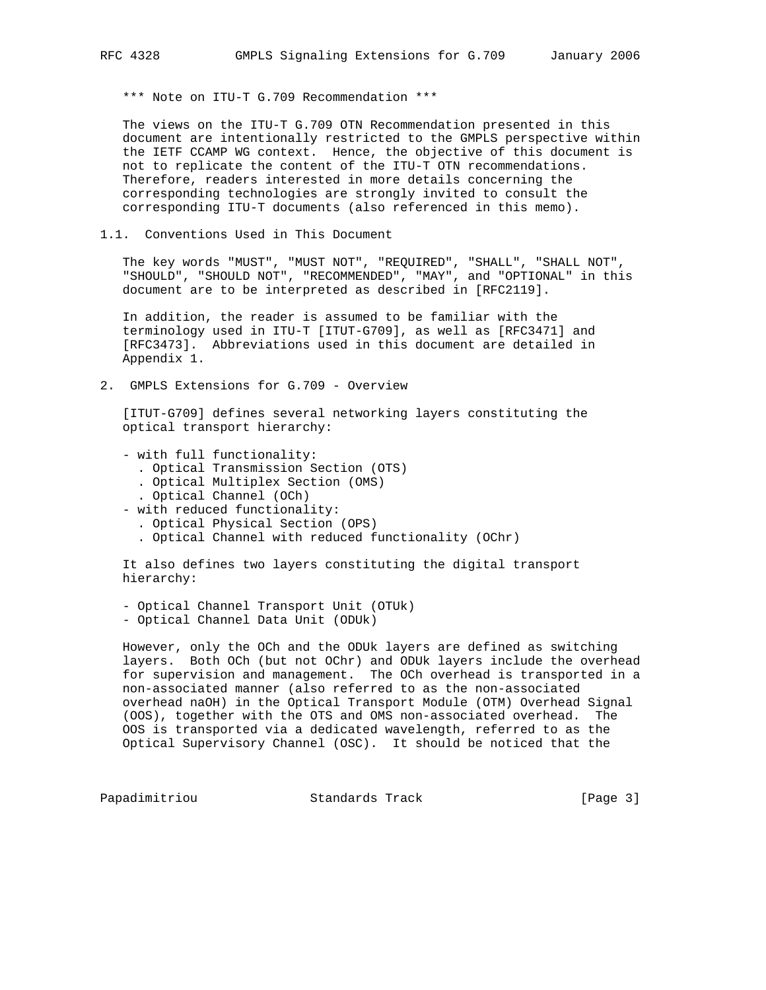\*\*\* Note on ITU-T G.709 Recommendation \*\*\*

 The views on the ITU-T G.709 OTN Recommendation presented in this document are intentionally restricted to the GMPLS perspective within the IETF CCAMP WG context. Hence, the objective of this document is not to replicate the content of the ITU-T OTN recommendations. Therefore, readers interested in more details concerning the corresponding technologies are strongly invited to consult the corresponding ITU-T documents (also referenced in this memo).

1.1. Conventions Used in This Document

 The key words "MUST", "MUST NOT", "REQUIRED", "SHALL", "SHALL NOT", "SHOULD", "SHOULD NOT", "RECOMMENDED", "MAY", and "OPTIONAL" in this document are to be interpreted as described in [RFC2119].

 In addition, the reader is assumed to be familiar with the terminology used in ITU-T [ITUT-G709], as well as [RFC3471] and [RFC3473]. Abbreviations used in this document are detailed in Appendix 1.

2. GMPLS Extensions for G.709 - Overview

 [ITUT-G709] defines several networking layers constituting the optical transport hierarchy:

- with full functionality:
	- . Optical Transmission Section (OTS)
	- . Optical Multiplex Section (OMS)
	- . Optical Channel (OCh)
- with reduced functionality:
	- . Optical Physical Section (OPS)
	- . Optical Channel with reduced functionality (OChr)

 It also defines two layers constituting the digital transport hierarchy:

 - Optical Channel Transport Unit (OTUk) - Optical Channel Data Unit (ODUk)

 However, only the OCh and the ODUk layers are defined as switching layers. Both OCh (but not OChr) and ODUk layers include the overhead for supervision and management. The OCh overhead is transported in a non-associated manner (also referred to as the non-associated overhead naOH) in the Optical Transport Module (OTM) Overhead Signal (OOS), together with the OTS and OMS non-associated overhead. The OOS is transported via a dedicated wavelength, referred to as the Optical Supervisory Channel (OSC). It should be noticed that the

Papadimitriou **Standards Track** [Page 3]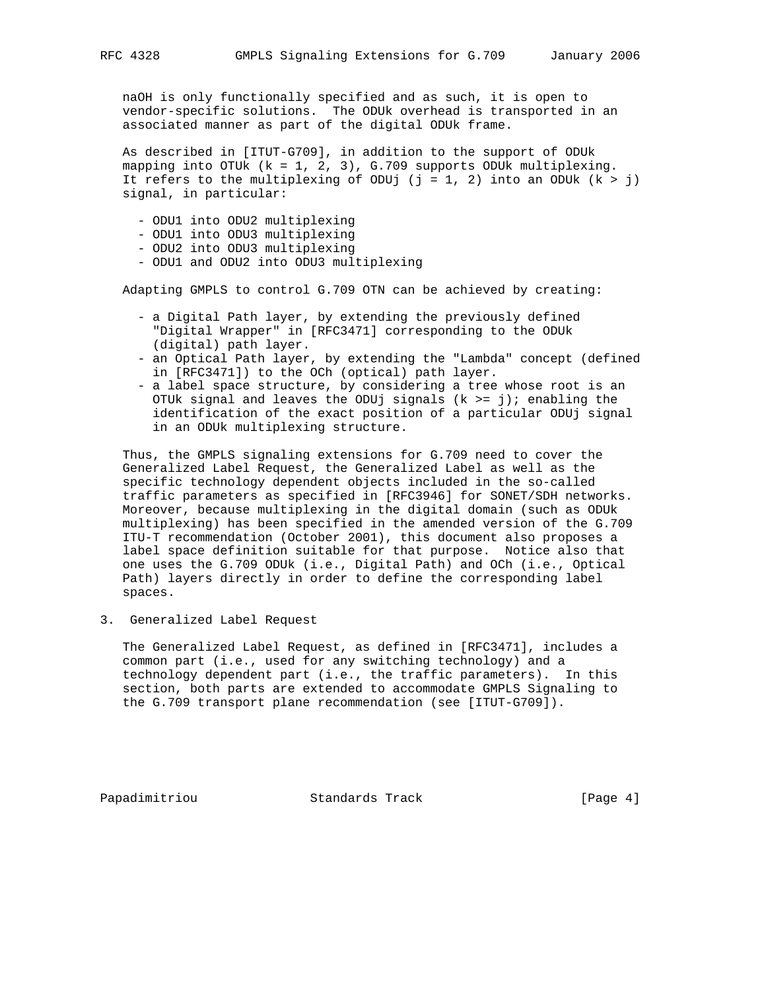naOH is only functionally specified and as such, it is open to vendor-specific solutions. The ODUk overhead is transported in an associated manner as part of the digital ODUk frame.

 As described in [ITUT-G709], in addition to the support of ODUk mapping into OTUk (k = 1, 2, 3), G.709 supports ODUk multiplexing. It refers to the multiplexing of ODUj (j = 1, 2) into an ODUk  $(k > j)$ signal, in particular:

- ODU1 into ODU2 multiplexing
- ODU1 into ODU3 multiplexing
- ODU2 into ODU3 multiplexing
- ODU1 and ODU2 into ODU3 multiplexing

Adapting GMPLS to control G.709 OTN can be achieved by creating:

- a Digital Path layer, by extending the previously defined "Digital Wrapper" in [RFC3471] corresponding to the ODUk (digital) path layer.
- an Optical Path layer, by extending the "Lambda" concept (defined in [RFC3471]) to the OCh (optical) path layer.
- a label space structure, by considering a tree whose root is an OTUk signal and leaves the ODUj signals  $(k \geq j)$ ; enabling the identification of the exact position of a particular ODUj signal in an ODUk multiplexing structure.

 Thus, the GMPLS signaling extensions for G.709 need to cover the Generalized Label Request, the Generalized Label as well as the specific technology dependent objects included in the so-called traffic parameters as specified in [RFC3946] for SONET/SDH networks. Moreover, because multiplexing in the digital domain (such as ODUk multiplexing) has been specified in the amended version of the G.709 ITU-T recommendation (October 2001), this document also proposes a label space definition suitable for that purpose. Notice also that one uses the G.709 ODUk (i.e., Digital Path) and OCh (i.e., Optical Path) layers directly in order to define the corresponding label spaces.

3. Generalized Label Request

 The Generalized Label Request, as defined in [RFC3471], includes a common part (i.e., used for any switching technology) and a technology dependent part (i.e., the traffic parameters). In this section, both parts are extended to accommodate GMPLS Signaling to the G.709 transport plane recommendation (see [ITUT-G709]).

Papadimitriou Standards Track [Page 4]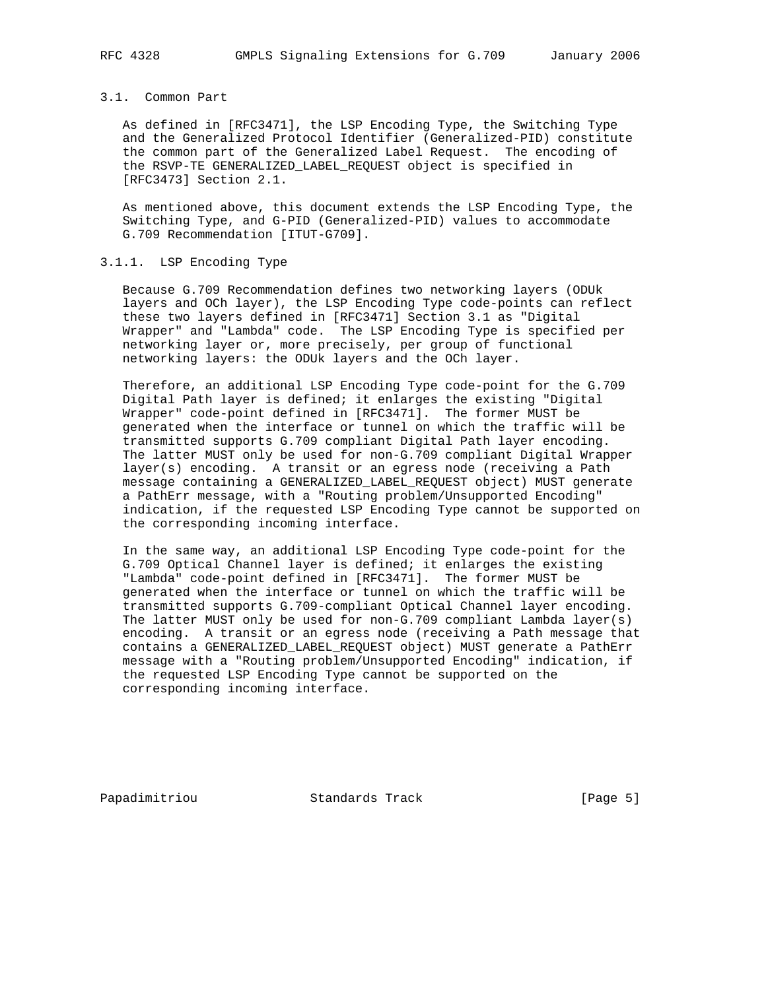# 3.1. Common Part

 As defined in [RFC3471], the LSP Encoding Type, the Switching Type and the Generalized Protocol Identifier (Generalized-PID) constitute the common part of the Generalized Label Request. The encoding of the RSVP-TE GENERALIZED\_LABEL\_REQUEST object is specified in [RFC3473] Section 2.1.

 As mentioned above, this document extends the LSP Encoding Type, the Switching Type, and G-PID (Generalized-PID) values to accommodate G.709 Recommendation [ITUT-G709].

### 3.1.1. LSP Encoding Type

 Because G.709 Recommendation defines two networking layers (ODUk layers and OCh layer), the LSP Encoding Type code-points can reflect these two layers defined in [RFC3471] Section 3.1 as "Digital Wrapper" and "Lambda" code. The LSP Encoding Type is specified per networking layer or, more precisely, per group of functional networking layers: the ODUk layers and the OCh layer.

 Therefore, an additional LSP Encoding Type code-point for the G.709 Digital Path layer is defined; it enlarges the existing "Digital Wrapper" code-point defined in [RFC3471]. The former MUST be generated when the interface or tunnel on which the traffic will be transmitted supports G.709 compliant Digital Path layer encoding. The latter MUST only be used for non-G.709 compliant Digital Wrapper layer(s) encoding. A transit or an egress node (receiving a Path message containing a GENERALIZED\_LABEL\_REQUEST object) MUST generate a PathErr message, with a "Routing problem/Unsupported Encoding" indication, if the requested LSP Encoding Type cannot be supported on the corresponding incoming interface.

 In the same way, an additional LSP Encoding Type code-point for the G.709 Optical Channel layer is defined; it enlarges the existing "Lambda" code-point defined in [RFC3471]. The former MUST be generated when the interface or tunnel on which the traffic will be transmitted supports G.709-compliant Optical Channel layer encoding. The latter MUST only be used for non-G.709 compliant Lambda layer(s) encoding. A transit or an egress node (receiving a Path message that contains a GENERALIZED\_LABEL\_REQUEST object) MUST generate a PathErr message with a "Routing problem/Unsupported Encoding" indication, if the requested LSP Encoding Type cannot be supported on the corresponding incoming interface.

Papadimitriou **Standards Track** [Page 5]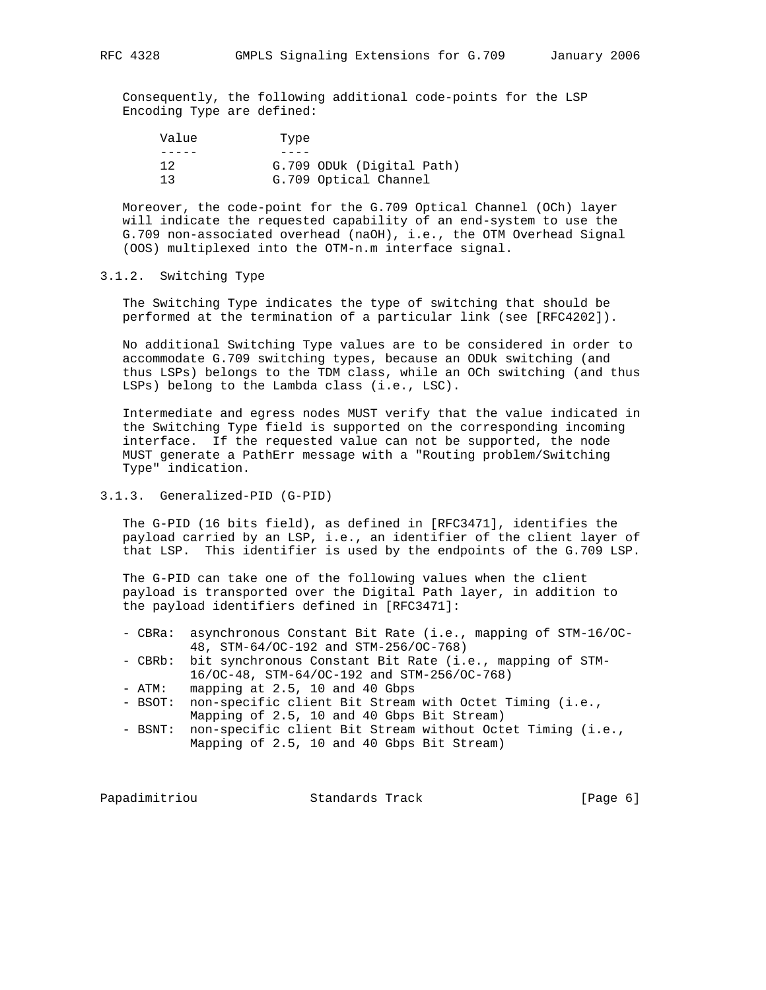Consequently, the following additional code-points for the LSP Encoding Type are defined:

| Value | Type                      |
|-------|---------------------------|
|       |                           |
| 12    | G.709 ODUk (Digital Path) |
| 13    | G.709 Optical Channel     |

 Moreover, the code-point for the G.709 Optical Channel (OCh) layer will indicate the requested capability of an end-system to use the G.709 non-associated overhead (naOH), i.e., the OTM Overhead Signal (OOS) multiplexed into the OTM-n.m interface signal.

### 3.1.2. Switching Type

 The Switching Type indicates the type of switching that should be performed at the termination of a particular link (see [RFC4202]).

 No additional Switching Type values are to be considered in order to accommodate G.709 switching types, because an ODUk switching (and thus LSPs) belongs to the TDM class, while an OCh switching (and thus LSPs) belong to the Lambda class (i.e., LSC).

 Intermediate and egress nodes MUST verify that the value indicated in the Switching Type field is supported on the corresponding incoming interface. If the requested value can not be supported, the node MUST generate a PathErr message with a "Routing problem/Switching Type" indication.

### 3.1.3. Generalized-PID (G-PID)

 The G-PID (16 bits field), as defined in [RFC3471], identifies the payload carried by an LSP, i.e., an identifier of the client layer of that LSP. This identifier is used by the endpoints of the G.709 LSP.

 The G-PID can take one of the following values when the client payload is transported over the Digital Path layer, in addition to the payload identifiers defined in [RFC3471]:

- CBRa: asynchronous Constant Bit Rate (i.e., mapping of STM-16/OC- 48, STM-64/OC-192 and STM-256/OC-768)
- CBRb: bit synchronous Constant Bit Rate (i.e., mapping of STM- 16/OC-48, STM-64/OC-192 and STM-256/OC-768)
- ATM: mapping at 2.5, 10 and 40 Gbps
- BSOT: non-specific client Bit Stream with Octet Timing (i.e., Mapping of 2.5, 10 and 40 Gbps Bit Stream)
- BSNT: non-specific client Bit Stream without Octet Timing (i.e., Mapping of 2.5, 10 and 40 Gbps Bit Stream)

Papadimitriou **Standards Track** [Page 6]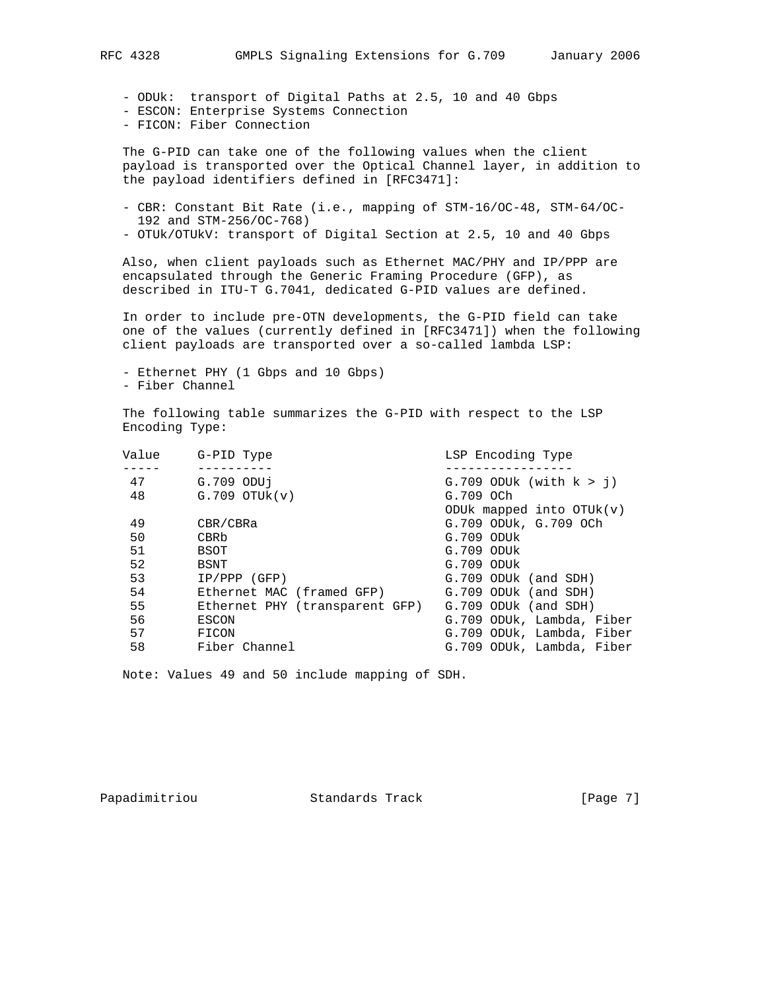- ODUk: transport of Digital Paths at 2.5, 10 and 40 Gbps
- ESCON: Enterprise Systems Connection
- FICON: Fiber Connection

 The G-PID can take one of the following values when the client payload is transported over the Optical Channel layer, in addition to the payload identifiers defined in [RFC3471]:

- CBR: Constant Bit Rate (i.e., mapping of STM-16/OC-48, STM-64/OC- 192 and STM-256/OC-768)
- OTUk/OTUkV: transport of Digital Section at 2.5, 10 and 40 Gbps

 Also, when client payloads such as Ethernet MAC/PHY and IP/PPP are encapsulated through the Generic Framing Procedure (GFP), as described in ITU-T G.7041, dedicated G-PID values are defined.

 In order to include pre-OTN developments, the G-PID field can take one of the values (currently defined in [RFC3471]) when the following client payloads are transported over a so-called lambda LSP:

 - Ethernet PHY (1 Gbps and 10 Gbps) - Fiber Channel

 The following table summarizes the G-PID with respect to the LSP Encoding Type:

| Value | G-PID Type                     | LSP Encoding Type              |
|-------|--------------------------------|--------------------------------|
|       |                                |                                |
| 47    | G.709 ODU1                     | $G.709$ ODUk (with $k > j$ )   |
| 48    | $G.709$ OTU $k(v)$             | G.709 OCh                      |
|       |                                | ODU $k$ mapped into OTU $k(v)$ |
| 49    | CBR/CBRa                       | G.709 ODUK, G.709 OCh          |
| 50    | CBRb                           | $G.709$ ODU $k$                |
| 51    | BSOT                           | $G.709$ ODU $k$                |
| 52    | BSNT                           | $G.709$ ODU $k$                |
| 53    | $IP/PPP$ (GFP)                 | G.709 ODUk (and SDH)           |
| 54    | Ethernet MAC (framed GFP)      | G.709 ODUk (and SDH)           |
| 55    | Ethernet PHY (transparent GFP) | G.709 ODUk (and SDH)           |
| 56    | ESCON                          | G.709 ODUk, Lambda, Fiber      |
| 57    | FICON                          | G.709 ODUk, Lambda, Fiber      |
| 58    | Fiber Channel                  | G.709 ODUk, Lambda, Fiber      |
|       |                                |                                |

Note: Values 49 and 50 include mapping of SDH.

Papadimitriou **Standards Track** [Page 7]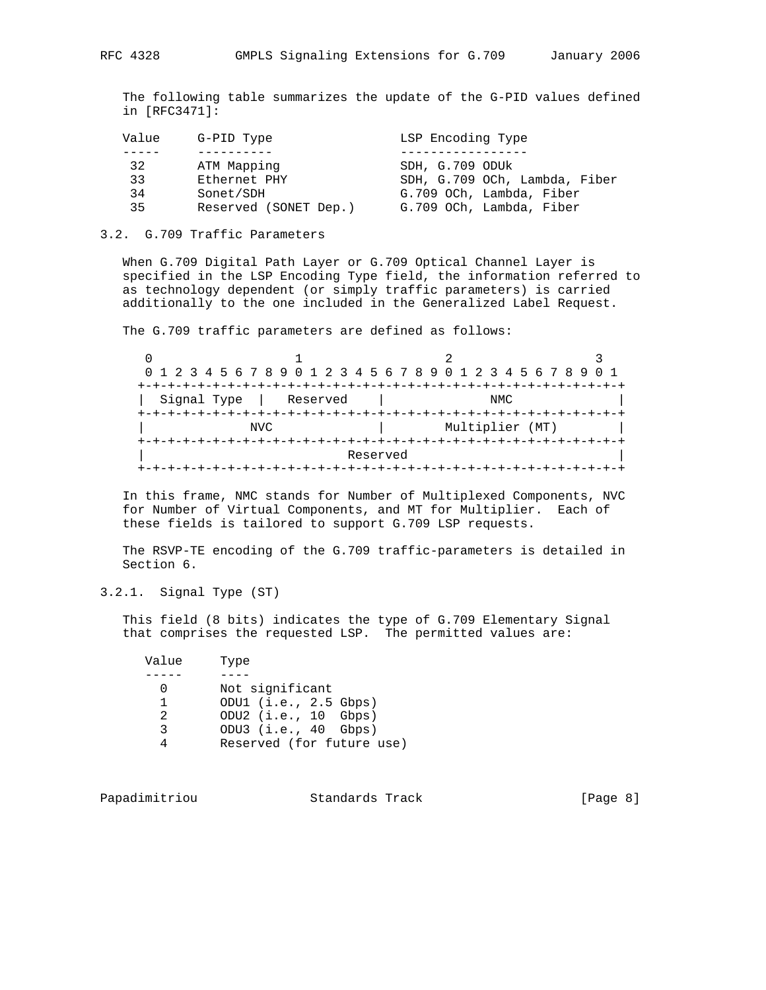The following table summarizes the update of the G-PID values defined in [RFC3471]:

| Value | G-PID Type            | LSP Encoding Type             |
|-------|-----------------------|-------------------------------|
|       |                       |                               |
| 32    | ATM Mapping           | SDH, G.709 ODUK               |
| 33    | Ethernet PHY          | SDH, G.709 OCh, Lambda, Fiber |
| 34    | Sonet/SDH             | G.709 OCh, Lambda, Fiber      |
| 35    | Reserved (SONET Dep.) | G.709 OCh, Lambda, Fiber      |

#### 3.2. G.709 Traffic Parameters

 When G.709 Digital Path Layer or G.709 Optical Channel Layer is specified in the LSP Encoding Type field, the information referred to as technology dependent (or simply traffic parameters) is carried additionally to the one included in the Generalized Label Request.

The G.709 traffic parameters are defined as follows:

|             | 0 1 2 3 4 5 6 7 8 9 0 1 2 3 4 5 6 7 8 9 0 1 2 3 4 5 6 7 8 9 0 1 |          |  |                 |      |  |  |
|-------------|-----------------------------------------------------------------|----------|--|-----------------|------|--|--|
|             |                                                                 |          |  |                 |      |  |  |
| Signal Type | Reserved                                                        |          |  |                 | NMC. |  |  |
|             |                                                                 |          |  |                 |      |  |  |
|             | NVC                                                             |          |  | Multiplier (MT) |      |  |  |
|             |                                                                 |          |  |                 |      |  |  |
|             |                                                                 | Reserved |  |                 |      |  |  |
|             |                                                                 |          |  |                 |      |  |  |

 In this frame, NMC stands for Number of Multiplexed Components, NVC for Number of Virtual Components, and MT for Multiplier. Each of these fields is tailored to support G.709 LSP requests.

 The RSVP-TE encoding of the G.709 traffic-parameters is detailed in Section 6.

3.2.1. Signal Type (ST)

 This field (8 bits) indicates the type of G.709 Elementary Signal that comprises the requested LSP. The permitted values are:

| Value | Type                      |
|-------|---------------------------|
|       |                           |
|       | Not significant           |
|       | ODU1 $(i.e., 2.5 Gbps)$   |
| 2     | ODU2 (i.e., 10 Gbps)      |
| २     | ODU3 $(i.e., 40 Gbps)$    |
|       | Reserved (for future use) |

Papadimitriou **Standards Track** [Page 8]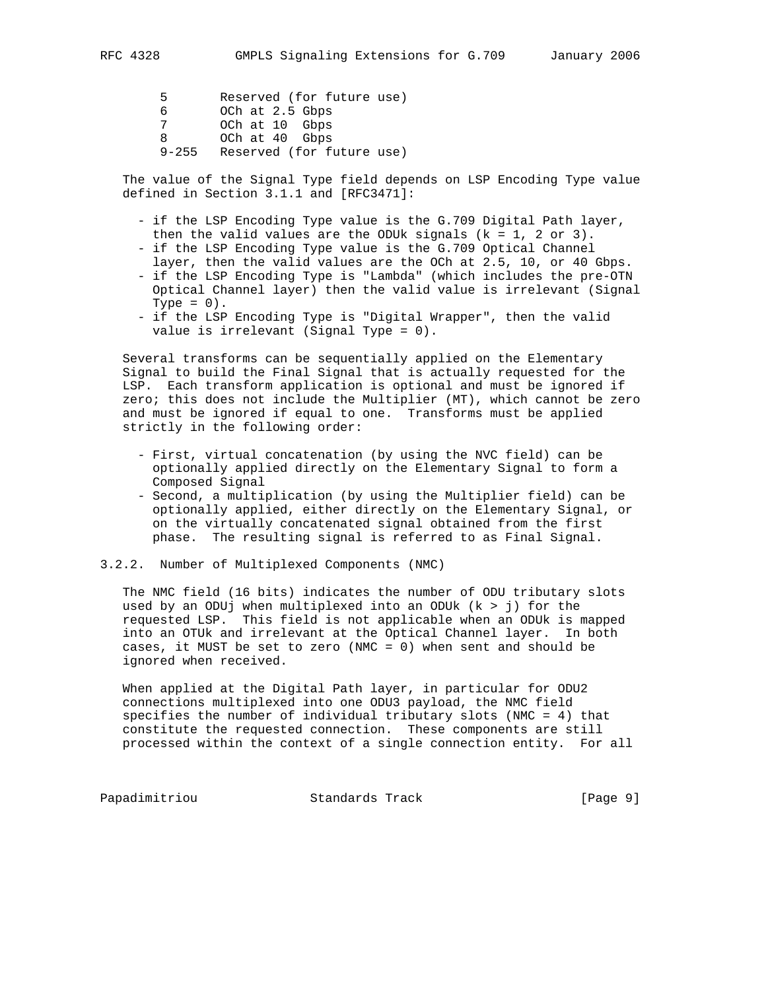5 Reserved (for future use) 6 OCh at 2.5 Gbps 7 OCh at 10 Gbps 8 OCh at 40 Gbps 9-255 Reserved (for future use)

 The value of the Signal Type field depends on LSP Encoding Type value defined in Section 3.1.1 and [RFC3471]:

- if the LSP Encoding Type value is the G.709 Digital Path layer, then the valid values are the ODUk signals  $(k = 1, 2 \text{ or } 3)$ .
- if the LSP Encoding Type value is the G.709 Optical Channel layer, then the valid values are the OCh at 2.5, 10, or 40 Gbps.
- if the LSP Encoding Type is "Lambda" (which includes the pre-OTN Optical Channel layer) then the valid value is irrelevant (Signal Type =  $0$ ).
- if the LSP Encoding Type is "Digital Wrapper", then the valid value is irrelevant (Signal Type = 0).

 Several transforms can be sequentially applied on the Elementary Signal to build the Final Signal that is actually requested for the LSP. Each transform application is optional and must be ignored if zero; this does not include the Multiplier (MT), which cannot be zero and must be ignored if equal to one. Transforms must be applied strictly in the following order:

- First, virtual concatenation (by using the NVC field) can be optionally applied directly on the Elementary Signal to form a Composed Signal
- Second, a multiplication (by using the Multiplier field) can be optionally applied, either directly on the Elementary Signal, or on the virtually concatenated signal obtained from the first phase. The resulting signal is referred to as Final Signal.
- 3.2.2. Number of Multiplexed Components (NMC)

 The NMC field (16 bits) indicates the number of ODU tributary slots used by an ODUj when multiplexed into an ODUk  $(k > j)$  for the requested LSP. This field is not applicable when an ODUk is mapped into an OTUk and irrelevant at the Optical Channel layer. In both cases, it MUST be set to zero (NMC = 0) when sent and should be ignored when received.

When applied at the Digital Path layer, in particular for ODU2 connections multiplexed into one ODU3 payload, the NMC field specifies the number of individual tributary slots (NMC = 4) that constitute the requested connection. These components are still processed within the context of a single connection entity. For all

Papadimitriou **Standards Track** [Page 9]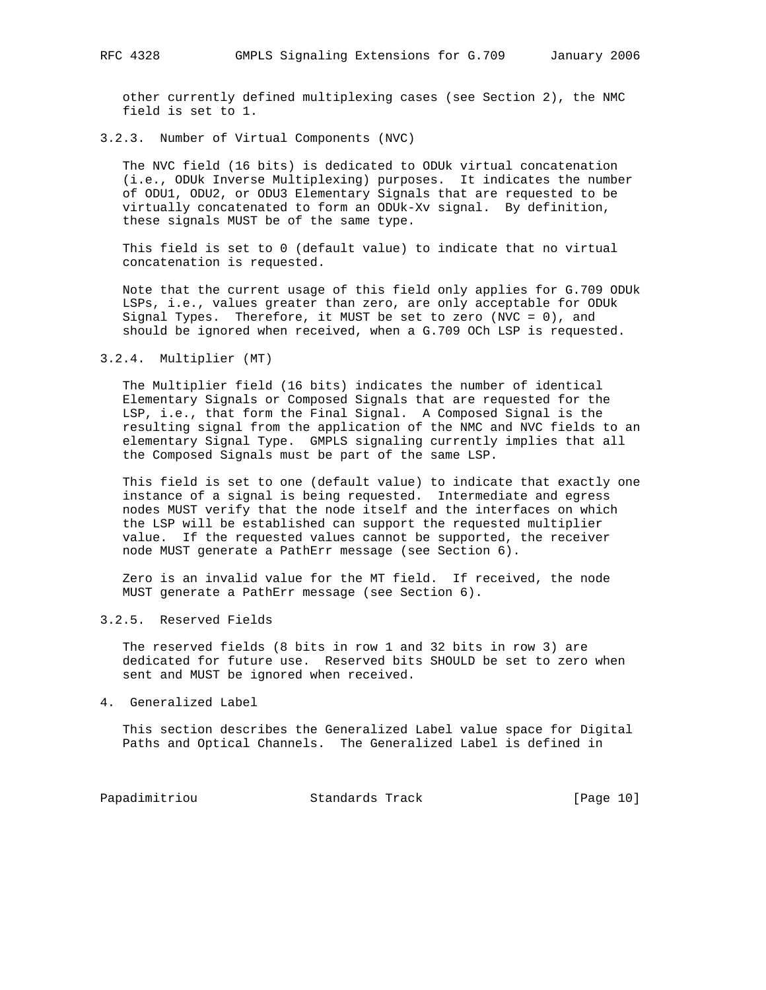other currently defined multiplexing cases (see Section 2), the NMC field is set to 1.

3.2.3. Number of Virtual Components (NVC)

 The NVC field (16 bits) is dedicated to ODUk virtual concatenation (i.e., ODUk Inverse Multiplexing) purposes. It indicates the number of ODU1, ODU2, or ODU3 Elementary Signals that are requested to be virtually concatenated to form an ODUk-Xv signal. By definition, these signals MUST be of the same type.

 This field is set to 0 (default value) to indicate that no virtual concatenation is requested.

 Note that the current usage of this field only applies for G.709 ODUk LSPs, i.e., values greater than zero, are only acceptable for ODUk Signal Types. Therefore, it MUST be set to zero (NVC =  $0$ ), and should be ignored when received, when a G.709 OCh LSP is requested.

3.2.4. Multiplier (MT)

 The Multiplier field (16 bits) indicates the number of identical Elementary Signals or Composed Signals that are requested for the LSP, i.e., that form the Final Signal. A Composed Signal is the resulting signal from the application of the NMC and NVC fields to an elementary Signal Type. GMPLS signaling currently implies that all the Composed Signals must be part of the same LSP.

 This field is set to one (default value) to indicate that exactly one instance of a signal is being requested. Intermediate and egress nodes MUST verify that the node itself and the interfaces on which the LSP will be established can support the requested multiplier value. If the requested values cannot be supported, the receiver node MUST generate a PathErr message (see Section 6).

 Zero is an invalid value for the MT field. If received, the node MUST generate a PathErr message (see Section 6).

3.2.5. Reserved Fields

 The reserved fields (8 bits in row 1 and 32 bits in row 3) are dedicated for future use. Reserved bits SHOULD be set to zero when sent and MUST be ignored when received.

4. Generalized Label

 This section describes the Generalized Label value space for Digital Paths and Optical Channels. The Generalized Label is defined in

Papadimitriou **Standards Track** [Page 10]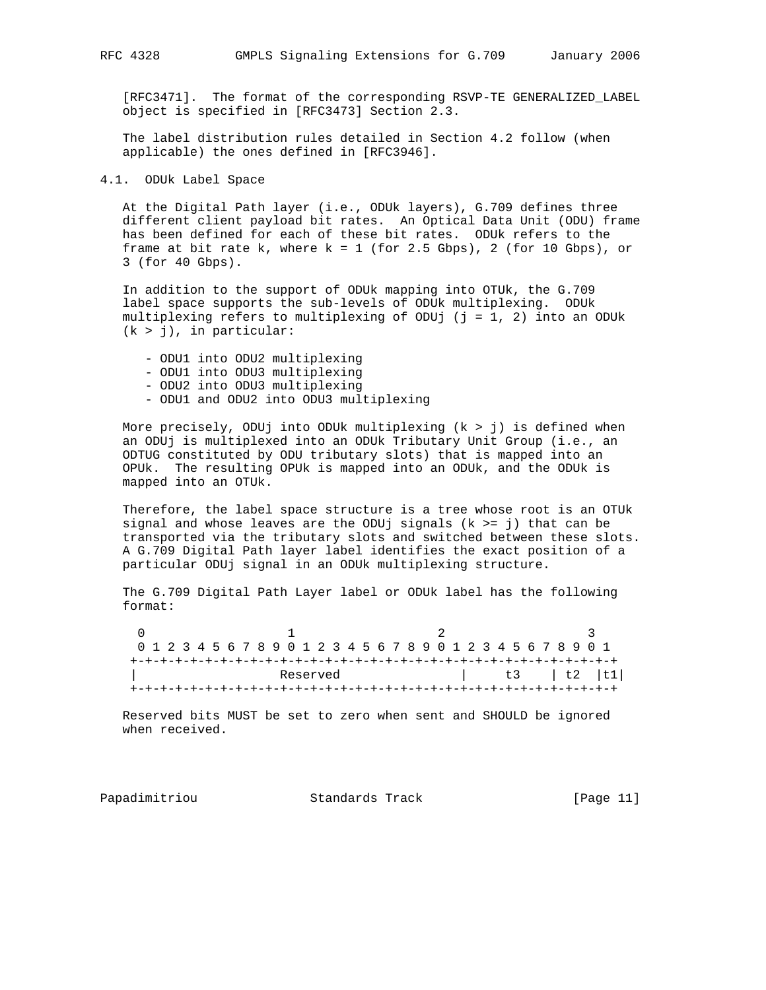[RFC3471]. The format of the corresponding RSVP-TE GENERALIZED\_LABEL object is specified in [RFC3473] Section 2.3.

 The label distribution rules detailed in Section 4.2 follow (when applicable) the ones defined in [RFC3946].

4.1. ODUk Label Space

 At the Digital Path layer (i.e., ODUk layers), G.709 defines three different client payload bit rates. An Optical Data Unit (ODU) frame has been defined for each of these bit rates. ODUk refers to the frame at bit rate  $k$ , where  $k = 1$  (for 2.5 Gbps), 2 (for 10 Gbps), or 3 (for 40 Gbps).

 In addition to the support of ODUk mapping into OTUk, the G.709 label space supports the sub-levels of ODUk multiplexing. ODUk multiplexing refers to multiplexing of ODUj ( $j = 1, 2$ ) into an ODUk  $(k > j)$ , in particular:

 - ODU1 into ODU2 multiplexing - ODU1 into ODU3 multiplexing - ODU2 into ODU3 multiplexing - ODU1 and ODU2 into ODU3 multiplexing

 More precisely, ODUj into ODUk multiplexing (k > j) is defined when an ODUj is multiplexed into an ODUk Tributary Unit Group (i.e., an ODTUG constituted by ODU tributary slots) that is mapped into an OPUk. The resulting OPUk is mapped into an ODUk, and the ODUk is mapped into an OTUk.

 Therefore, the label space structure is a tree whose root is an OTUk signal and whose leaves are the ODUj signals  $(k \geq j)$  that can be transported via the tributary slots and switched between these slots. A G.709 Digital Path layer label identifies the exact position of a particular ODUj signal in an ODUk multiplexing structure.

 The G.709 Digital Path Layer label or ODUk label has the following format:

 $0$  1 2 3 0 1 2 3 4 5 6 7 8 9 0 1 2 3 4 5 6 7 8 9 0 1 2 3 4 5 6 7 8 9 0 1 +-+-+-+-+-+-+-+-+-+-+-+-+-+-+-+-+-+-+-+-+-+-+-+-+-+-+-+-+-+-+-+-+ Reserved | t3 | t2 | t1| +-+-+-+-+-+-+-+-+-+-+-+-+-+-+-+-+-+-+-+-+-+-+-+-+-+-+-+-+-+-+-+-+

 Reserved bits MUST be set to zero when sent and SHOULD be ignored when received.

Papadimitriou **Standards Track** [Page 11]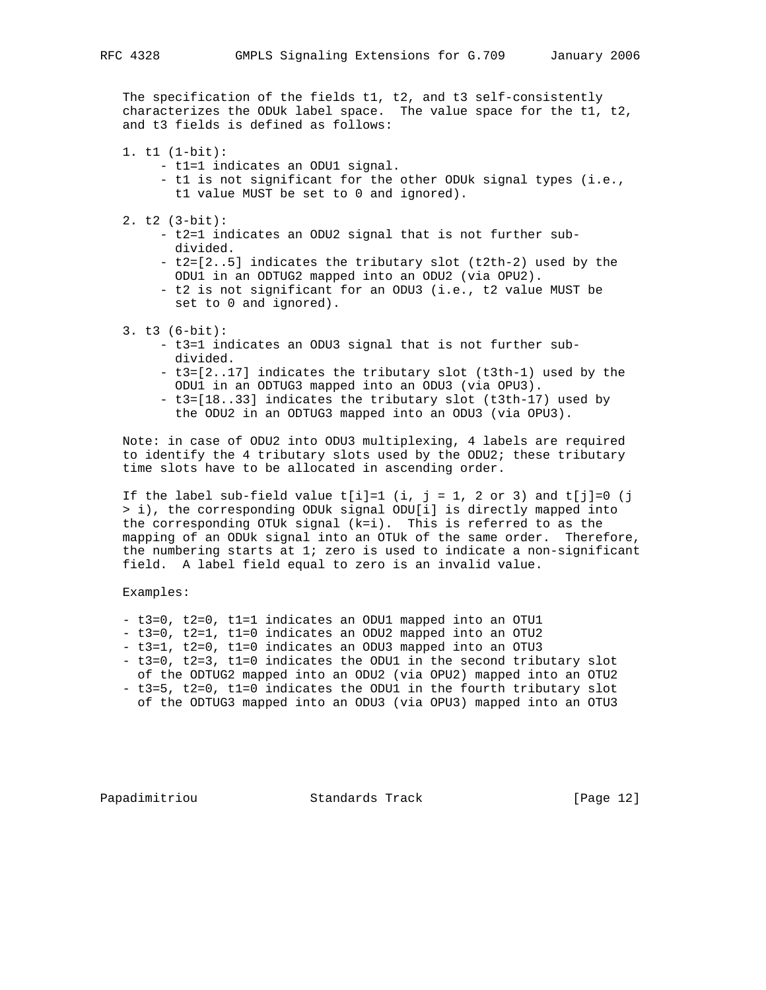The specification of the fields t1, t2, and t3 self-consistently characterizes the ODUk label space. The value space for the t1, t2, and t3 fields is defined as follows:

- 1. t1 (1-bit):
	- t1=1 indicates an ODU1 signal.
	- t1 is not significant for the other ODUk signal types (i.e., t1 value MUST be set to 0 and ignored).
- 2. t2 (3-bit):
	- t2=1 indicates an ODU2 signal that is not further sub divided.
	- t2=[2..5] indicates the tributary slot (t2th-2) used by the ODU1 in an ODTUG2 mapped into an ODU2 (via OPU2).
	- t2 is not significant for an ODU3 (i.e., t2 value MUST be set to 0 and ignored).
- 3. t3 (6-bit):
	- t3=1 indicates an ODU3 signal that is not further sub divided.
	- t3=[2..17] indicates the tributary slot (t3th-1) used by the ODU1 in an ODTUG3 mapped into an ODU3 (via OPU3).
	- t3=[18..33] indicates the tributary slot (t3th-17) used by the ODU2 in an ODTUG3 mapped into an ODU3 (via OPU3).

 Note: in case of ODU2 into ODU3 multiplexing, 4 labels are required to identify the 4 tributary slots used by the ODU2; these tributary time slots have to be allocated in ascending order.

If the label sub-field value  $t[i]=1$  (i, j = 1, 2 or 3) and  $t[j]=0$  (j > i), the corresponding ODUk signal ODU[i] is directly mapped into the corresponding OTUk signal (k=i). This is referred to as the mapping of an ODUk signal into an OTUk of the same order. Therefore, the numbering starts at 1; zero is used to indicate a non-significant field. A label field equal to zero is an invalid value.

Examples:

- t3=0, t2=0, t1=1 indicates an ODU1 mapped into an OTU1
- t3=0, t2=1, t1=0 indicates an ODU2 mapped into an OTU2
- t3=1, t2=0, t1=0 indicates an ODU3 mapped into an OTU3
- t3=0, t2=3, t1=0 indicates the ODU1 in the second tributary slot of the ODTUG2 mapped into an ODU2 (via OPU2) mapped into an OTU2 - t3=5, t2=0, t1=0 indicates the ODU1 in the fourth tributary slot
- of the ODTUG3 mapped into an ODU3 (via OPU3) mapped into an OTU3

Papadimitriou **Standards Track** [Page 12]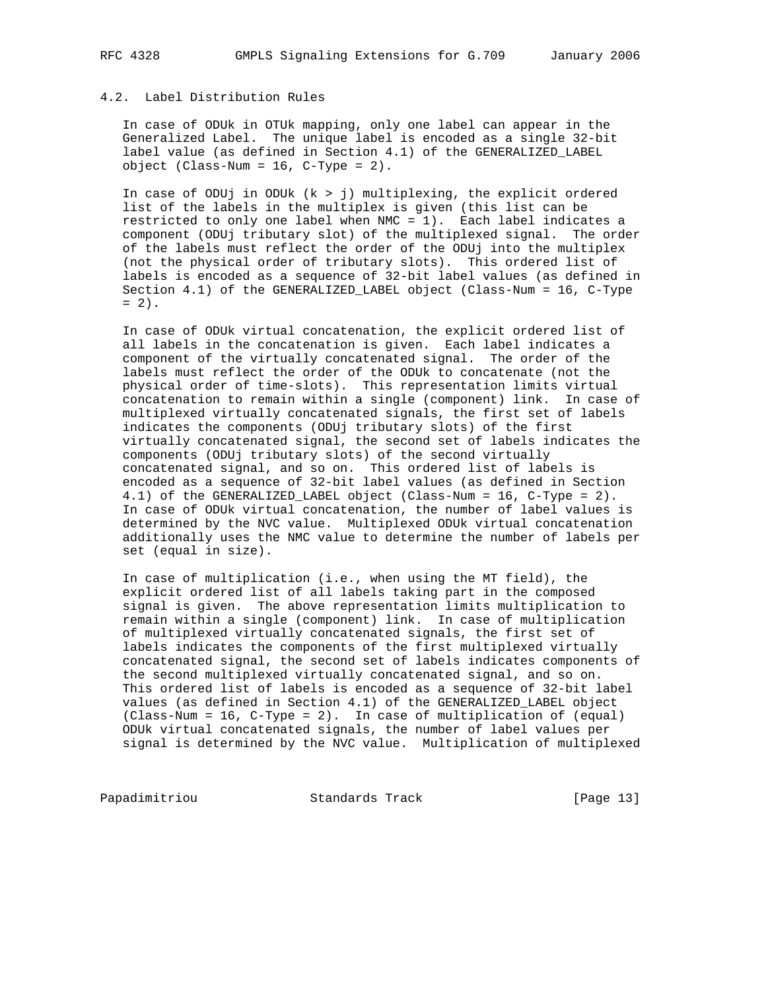# 4.2. Label Distribution Rules

 In case of ODUk in OTUk mapping, only one label can appear in the Generalized Label. The unique label is encoded as a single 32-bit label value (as defined in Section 4.1) of the GENERALIZED\_LABEL object (Class-Num = 16, C-Type = 2).

In case of ODUj in ODUk  $(k > j)$  multiplexing, the explicit ordered list of the labels in the multiplex is given (this list can be restricted to only one label when NMC = 1). Each label indicates a component (ODUj tributary slot) of the multiplexed signal. The order of the labels must reflect the order of the ODUj into the multiplex (not the physical order of tributary slots). This ordered list of labels is encoded as a sequence of 32-bit label values (as defined in Section 4.1) of the GENERALIZED\_LABEL object (Class-Num = 16, C-Type  $= 2$ ).

 In case of ODUk virtual concatenation, the explicit ordered list of all labels in the concatenation is given. Each label indicates a component of the virtually concatenated signal. The order of the labels must reflect the order of the ODUk to concatenate (not the physical order of time-slots). This representation limits virtual concatenation to remain within a single (component) link. In case of multiplexed virtually concatenated signals, the first set of labels indicates the components (ODUj tributary slots) of the first virtually concatenated signal, the second set of labels indicates the components (ODUj tributary slots) of the second virtually concatenated signal, and so on. This ordered list of labels is encoded as a sequence of 32-bit label values (as defined in Section 4.1) of the GENERALIZED\_LABEL object (Class-Num = 16, C-Type = 2). In case of ODUk virtual concatenation, the number of label values is determined by the NVC value. Multiplexed ODUk virtual concatenation additionally uses the NMC value to determine the number of labels per set (equal in size).

 In case of multiplication (i.e., when using the MT field), the explicit ordered list of all labels taking part in the composed signal is given. The above representation limits multiplication to remain within a single (component) link. In case of multiplication of multiplexed virtually concatenated signals, the first set of labels indicates the components of the first multiplexed virtually concatenated signal, the second set of labels indicates components of the second multiplexed virtually concatenated signal, and so on. This ordered list of labels is encoded as a sequence of 32-bit label values (as defined in Section 4.1) of the GENERALIZED\_LABEL object (Class-Num = 16, C-Type = 2). In case of multiplication of (equal) ODUk virtual concatenated signals, the number of label values per signal is determined by the NVC value. Multiplication of multiplexed

Papadimitriou **Standards Track** [Page 13]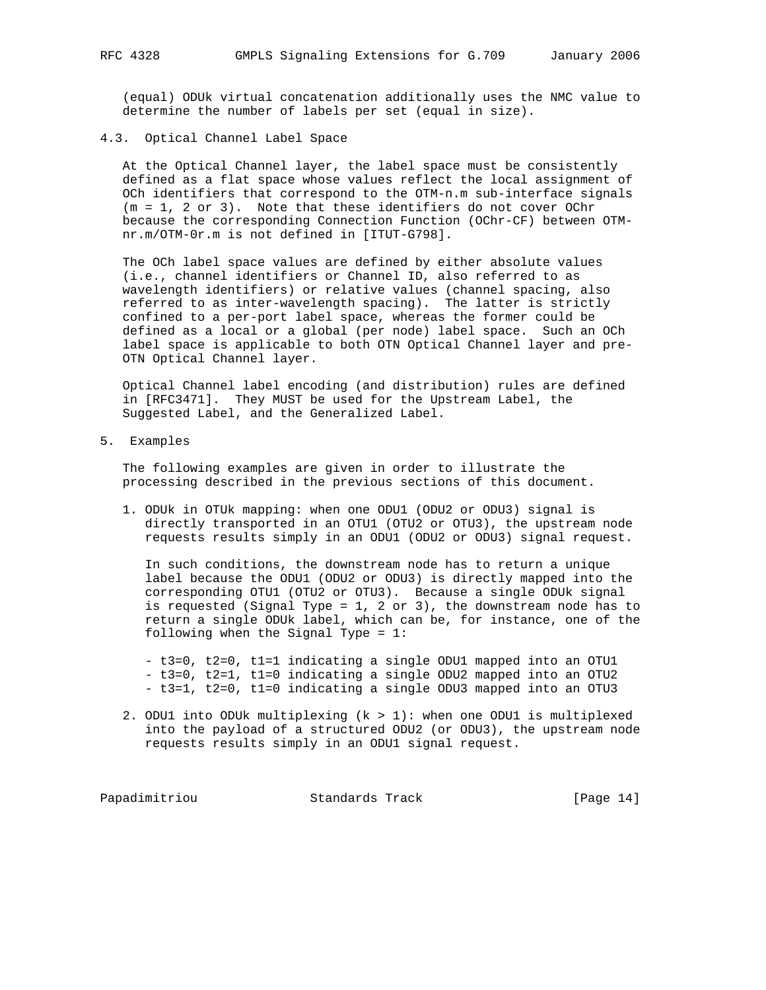(equal) ODUk virtual concatenation additionally uses the NMC value to determine the number of labels per set (equal in size).

#### 4.3. Optical Channel Label Space

 At the Optical Channel layer, the label space must be consistently defined as a flat space whose values reflect the local assignment of OCh identifiers that correspond to the OTM-n.m sub-interface signals (m = 1, 2 or 3). Note that these identifiers do not cover OChr because the corresponding Connection Function (OChr-CF) between OTM nr.m/OTM-0r.m is not defined in [ITUT-G798].

 The OCh label space values are defined by either absolute values (i.e., channel identifiers or Channel ID, also referred to as wavelength identifiers) or relative values (channel spacing, also referred to as inter-wavelength spacing). The latter is strictly confined to a per-port label space, whereas the former could be defined as a local or a global (per node) label space. Such an OCh label space is applicable to both OTN Optical Channel layer and pre- OTN Optical Channel layer.

 Optical Channel label encoding (and distribution) rules are defined in [RFC3471]. They MUST be used for the Upstream Label, the Suggested Label, and the Generalized Label.

5. Examples

 The following examples are given in order to illustrate the processing described in the previous sections of this document.

 1. ODUk in OTUk mapping: when one ODU1 (ODU2 or ODU3) signal is directly transported in an OTU1 (OTU2 or OTU3), the upstream node requests results simply in an ODU1 (ODU2 or ODU3) signal request.

 In such conditions, the downstream node has to return a unique label because the ODU1 (ODU2 or ODU3) is directly mapped into the corresponding OTU1 (OTU2 or OTU3). Because a single ODUk signal is requested (Signal Type =  $1, 2$  or  $3)$ , the downstream node has to return a single ODUk label, which can be, for instance, one of the following when the Signal Type = 1:

 - t3=0, t2=0, t1=1 indicating a single ODU1 mapped into an OTU1 - t3=0, t2=1, t1=0 indicating a single ODU2 mapped into an OTU2 - t3=1, t2=0, t1=0 indicating a single ODU3 mapped into an OTU3

 2. ODU1 into ODUk multiplexing (k > 1): when one ODU1 is multiplexed into the payload of a structured ODU2 (or ODU3), the upstream node requests results simply in an ODU1 signal request.

Papadimitriou **Standards Track** [Page 14]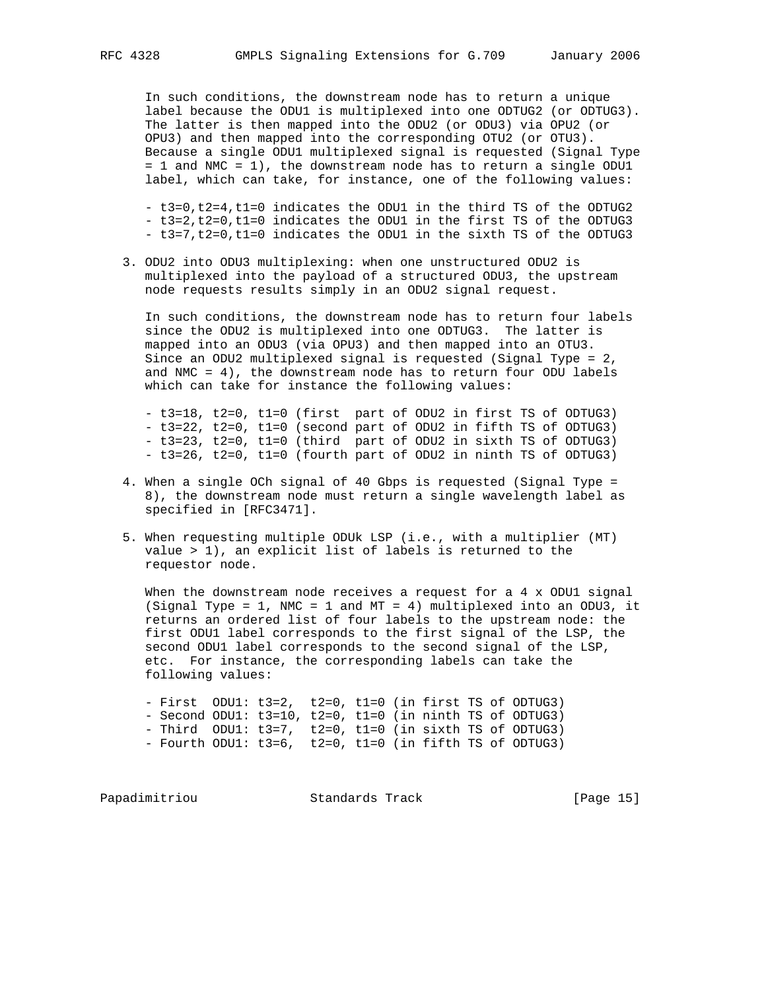In such conditions, the downstream node has to return a unique label because the ODU1 is multiplexed into one ODTUG2 (or ODTUG3). The latter is then mapped into the ODU2 (or ODU3) via OPU2 (or OPU3) and then mapped into the corresponding OTU2 (or OTU3). Because a single ODU1 multiplexed signal is requested (Signal Type = 1 and NMC = 1), the downstream node has to return a single ODU1 label, which can take, for instance, one of the following values:

 - t3=0,t2=4,t1=0 indicates the ODU1 in the third TS of the ODTUG2 - t3=2,t2=0,t1=0 indicates the ODU1 in the first TS of the ODTUG3 - t3=7,t2=0,t1=0 indicates the ODU1 in the sixth TS of the ODTUG3

 3. ODU2 into ODU3 multiplexing: when one unstructured ODU2 is multiplexed into the payload of a structured ODU3, the upstream node requests results simply in an ODU2 signal request.

 In such conditions, the downstream node has to return four labels since the ODU2 is multiplexed into one ODTUG3. The latter is mapped into an ODU3 (via OPU3) and then mapped into an OTU3. Since an ODU2 multiplexed signal is requested (Signal Type = 2, and NMC =  $4$ ), the downstream node has to return four ODU labels which can take for instance the following values:

 - t3=18, t2=0, t1=0 (first part of ODU2 in first TS of ODTUG3) - t3=22, t2=0, t1=0 (second part of ODU2 in fifth TS of ODTUG3) - t3=23, t2=0, t1=0 (third part of ODU2 in sixth TS of ODTUG3) - t3=26, t2=0, t1=0 (fourth part of ODU2 in ninth TS of ODTUG3)

- 4. When a single OCh signal of 40 Gbps is requested (Signal Type = 8), the downstream node must return a single wavelength label as specified in [RFC3471].
- 5. When requesting multiple ODUk LSP (i.e., with a multiplier (MT) value > 1), an explicit list of labels is returned to the requestor node.

When the downstream node receives a request for a  $4 \times$  ODU1 signal (Signal Type = 1, NMC = 1 and MT = 4) multiplexed into an ODU3, it returns an ordered list of four labels to the upstream node: the first ODU1 label corresponds to the first signal of the LSP, the second ODU1 label corresponds to the second signal of the LSP, etc. For instance, the corresponding labels can take the following values:

 - First ODU1: t3=2, t2=0, t1=0 (in first TS of ODTUG3) - Second ODU1: t3=10, t2=0, t1=0 (in ninth TS of ODTUG3) - Third ODU1: t3=7, t2=0, t1=0 (in sixth TS of ODTUG3) - Fourth ODU1: t3=6, t2=0, t1=0 (in fifth TS of ODTUG3)

Papadimitriou **Standards Track** [Page 15]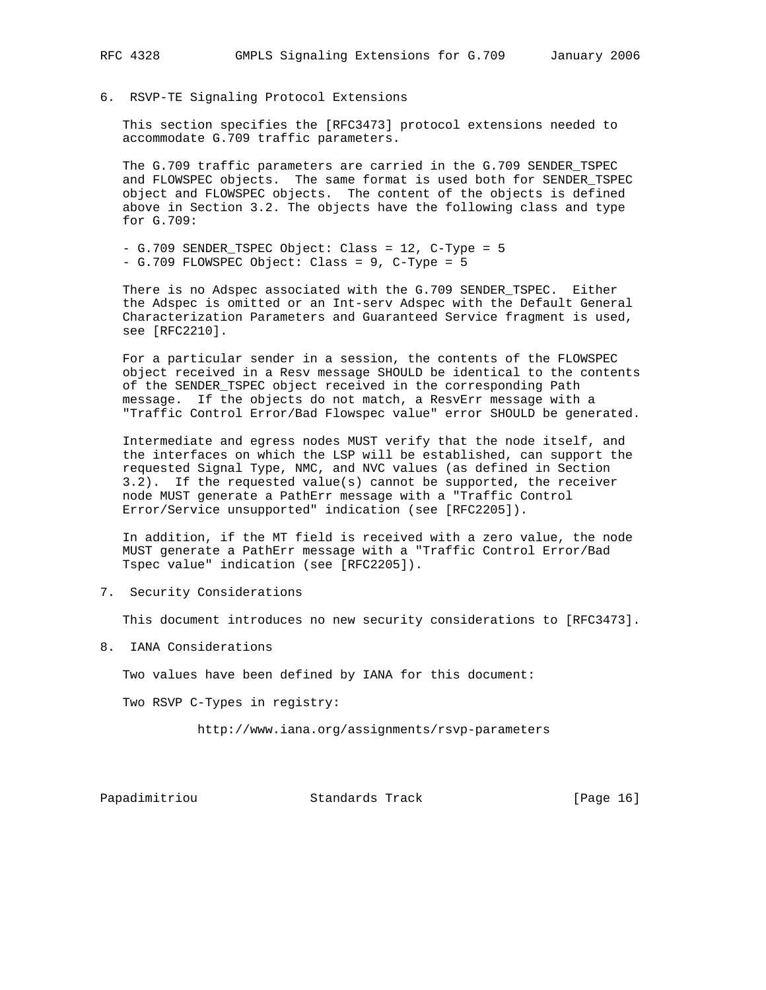6. RSVP-TE Signaling Protocol Extensions

 This section specifies the [RFC3473] protocol extensions needed to accommodate G.709 traffic parameters.

 The G.709 traffic parameters are carried in the G.709 SENDER\_TSPEC and FLOWSPEC objects. The same format is used both for SENDER\_TSPEC object and FLOWSPEC objects. The content of the objects is defined above in Section 3.2. The objects have the following class and type for G.709:

 - G.709 SENDER\_TSPEC Object: Class = 12, C-Type = 5 - G.709 FLOWSPEC Object: Class = 9, C-Type = 5

 There is no Adspec associated with the G.709 SENDER\_TSPEC. Either the Adspec is omitted or an Int-serv Adspec with the Default General Characterization Parameters and Guaranteed Service fragment is used, see [RFC2210].

 For a particular sender in a session, the contents of the FLOWSPEC object received in a Resv message SHOULD be identical to the contents of the SENDER\_TSPEC object received in the corresponding Path message. If the objects do not match, a ResvErr message with a "Traffic Control Error/Bad Flowspec value" error SHOULD be generated.

 Intermediate and egress nodes MUST verify that the node itself, and the interfaces on which the LSP will be established, can support the requested Signal Type, NMC, and NVC values (as defined in Section 3.2). If the requested value(s) cannot be supported, the receiver node MUST generate a PathErr message with a "Traffic Control Error/Service unsupported" indication (see [RFC2205]).

 In addition, if the MT field is received with a zero value, the node MUST generate a PathErr message with a "Traffic Control Error/Bad Tspec value" indication (see [RFC2205]).

7. Security Considerations

This document introduces no new security considerations to [RFC3473].

8. IANA Considerations

Two values have been defined by IANA for this document:

Two RSVP C-Types in registry:

http://www.iana.org/assignments/rsvp-parameters

Papadimitriou **Standards Track** [Page 16]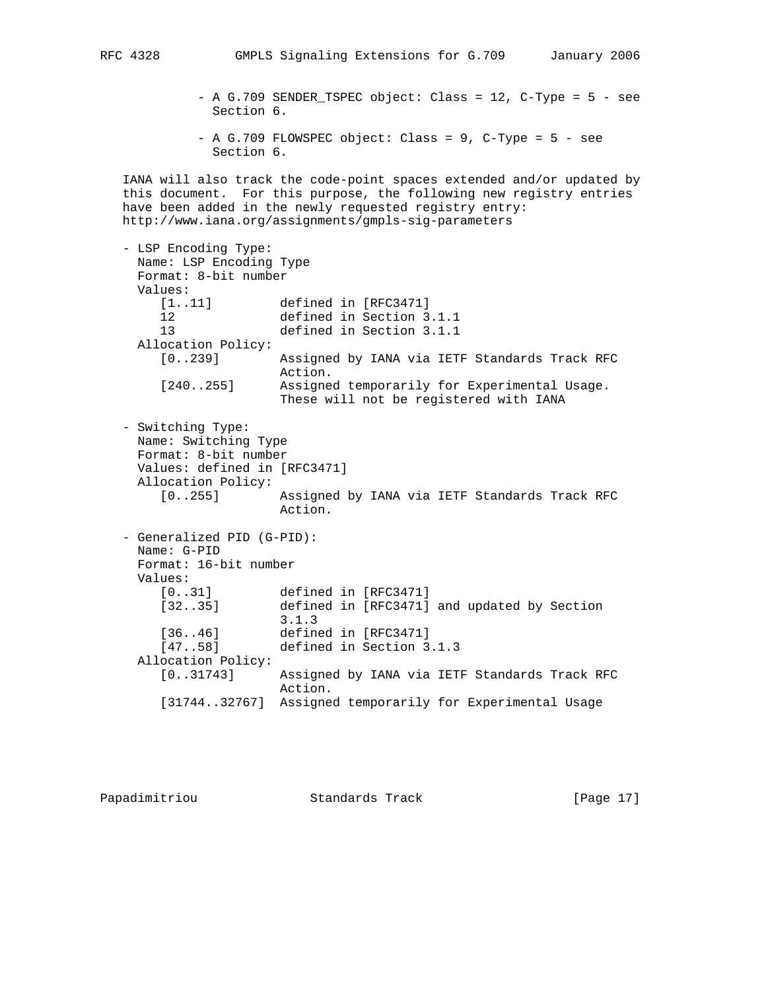- A G.709 SENDER\_TSPEC object: Class = 12, C-Type = 5 - see Section 6.

 $-$  A G.709 FLOWSPEC object: Class = 9, C-Type = 5 - see Section 6.

 IANA will also track the code-point spaces extended and/or updated by this document. For this purpose, the following new registry entries have been added in the newly requested registry entry: http://www.iana.org/assignments/gmpls-sig-parameters

 - LSP Encoding Type: Name: LSP Encoding Type Format: 8-bit number Values: [1..11] defined in [RFC3471] 12 defined in Section 3.1.1 13 defined in Section 3.1.1 Allocation Policy: [0..239] Assigned by IANA via IETF Standards Track RFC Action. [240..255] Assigned temporarily for Experimental Usage. These will not be registered with IANA - Switching Type: Name: Switching Type Format: 8-bit number Values: defined in [RFC3471] Allocation Policy: [0..255] Assigned by IANA via IETF Standards Track RFC Action. - Generalized PID (G-PID): Name: G-PID Format: 16-bit number Values: [0..31] defined in [RFC3471] [32..35] defined in [RFC3471] and updated by Section 3.1.3 [36..46] defined in [RFC3471] [47..58] defined in Section 3.1.3 Allocation Policy: [0..31743] Assigned by IANA via IETF Standards Track RFC Action. [31744..32767] Assigned temporarily for Experimental Usage

Papadimitriou **Standards Track** [Page 17]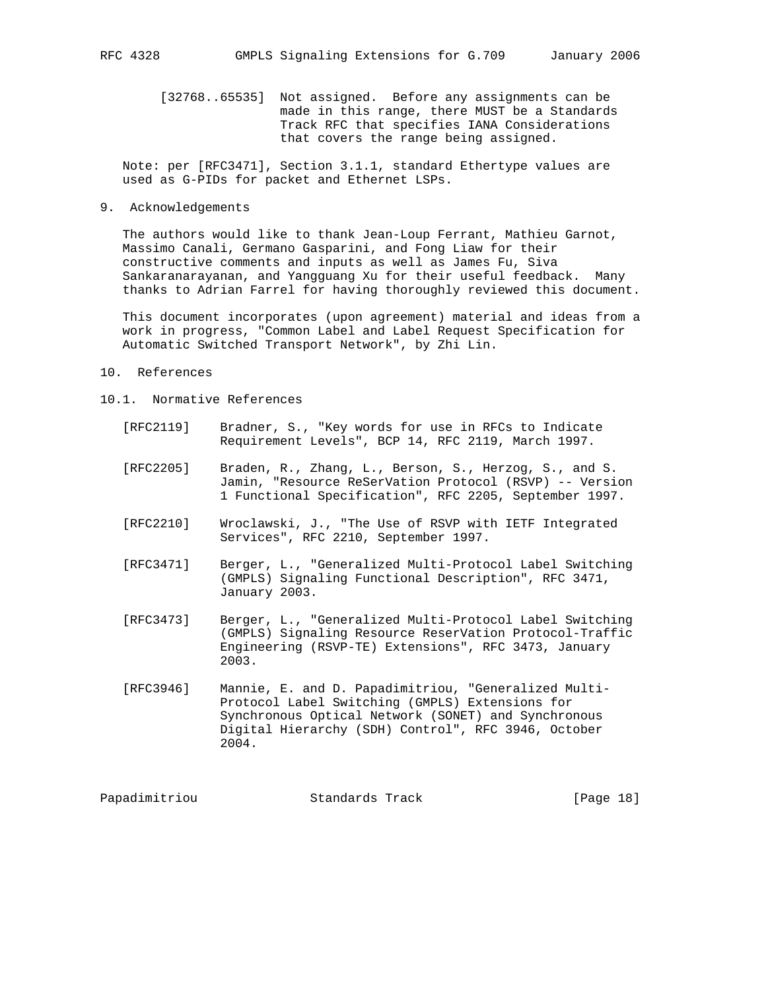[32768..65535] Not assigned. Before any assignments can be made in this range, there MUST be a Standards Track RFC that specifies IANA Considerations that covers the range being assigned.

 Note: per [RFC3471], Section 3.1.1, standard Ethertype values are used as G-PIDs for packet and Ethernet LSPs.

### 9. Acknowledgements

 The authors would like to thank Jean-Loup Ferrant, Mathieu Garnot, Massimo Canali, Germano Gasparini, and Fong Liaw for their constructive comments and inputs as well as James Fu, Siva Sankaranarayanan, and Yangguang Xu for their useful feedback. Many thanks to Adrian Farrel for having thoroughly reviewed this document.

 This document incorporates (upon agreement) material and ideas from a work in progress, "Common Label and Label Request Specification for Automatic Switched Transport Network", by Zhi Lin.

- 10. References
- 10.1. Normative References
	- [RFC2119] Bradner, S., "Key words for use in RFCs to Indicate Requirement Levels", BCP 14, RFC 2119, March 1997.
	- [RFC2205] Braden, R., Zhang, L., Berson, S., Herzog, S., and S. Jamin, "Resource ReSerVation Protocol (RSVP) -- Version 1 Functional Specification", RFC 2205, September 1997.
	- [RFC2210] Wroclawski, J., "The Use of RSVP with IETF Integrated Services", RFC 2210, September 1997.
	- [RFC3471] Berger, L., "Generalized Multi-Protocol Label Switching (GMPLS) Signaling Functional Description", RFC 3471, January 2003.
	- [RFC3473] Berger, L., "Generalized Multi-Protocol Label Switching (GMPLS) Signaling Resource ReserVation Protocol-Traffic Engineering (RSVP-TE) Extensions", RFC 3473, January 2003.
	- [RFC3946] Mannie, E. and D. Papadimitriou, "Generalized Multi- Protocol Label Switching (GMPLS) Extensions for Synchronous Optical Network (SONET) and Synchronous Digital Hierarchy (SDH) Control", RFC 3946, October 2004.

| Papadimitriou<br>Standards Track | [Page 18] |  |  |  |
|----------------------------------|-----------|--|--|--|
|----------------------------------|-----------|--|--|--|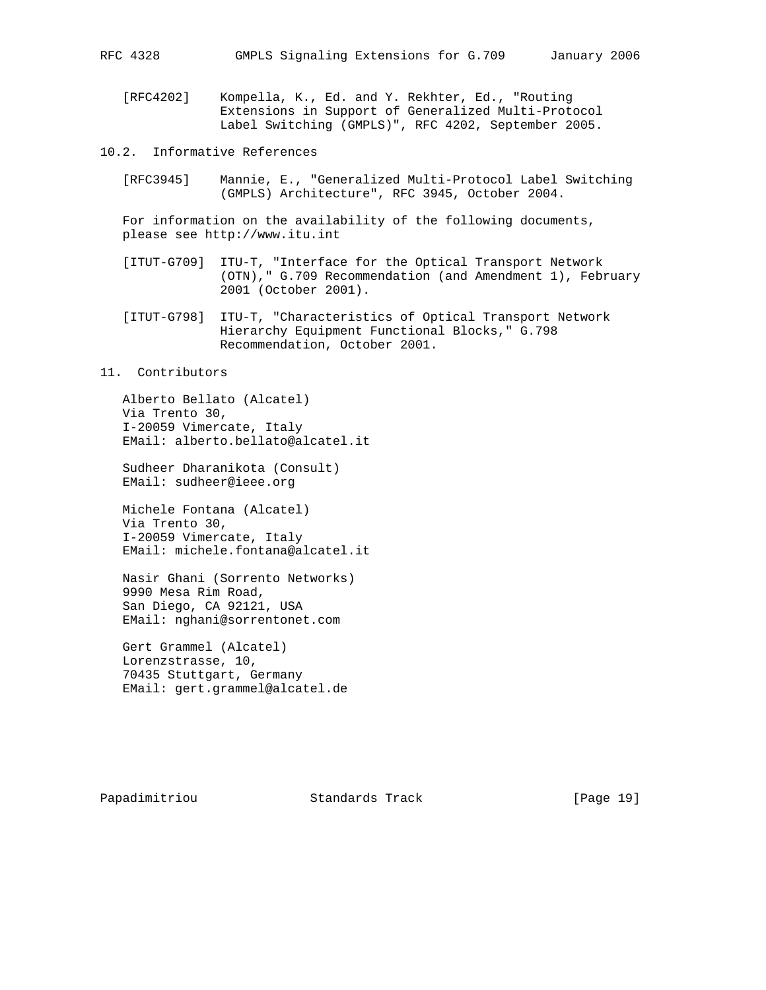[RFC4202] Kompella, K., Ed. and Y. Rekhter, Ed., "Routing Extensions in Support of Generalized Multi-Protocol Label Switching (GMPLS)", RFC 4202, September 2005.

10.2. Informative References

 [RFC3945] Mannie, E., "Generalized Multi-Protocol Label Switching (GMPLS) Architecture", RFC 3945, October 2004.

 For information on the availability of the following documents, please see http://www.itu.int

- [ITUT-G709] ITU-T, "Interface for the Optical Transport Network (OTN)," G.709 Recommendation (and Amendment 1), February 2001 (October 2001).
- [ITUT-G798] ITU-T, "Characteristics of Optical Transport Network Hierarchy Equipment Functional Blocks," G.798 Recommendation, October 2001.

### 11. Contributors

 Alberto Bellato (Alcatel) Via Trento 30, I-20059 Vimercate, Italy EMail: alberto.bellato@alcatel.it

 Sudheer Dharanikota (Consult) EMail: sudheer@ieee.org

 Michele Fontana (Alcatel) Via Trento 30, I-20059 Vimercate, Italy EMail: michele.fontana@alcatel.it

 Nasir Ghani (Sorrento Networks) 9990 Mesa Rim Road, San Diego, CA 92121, USA EMail: nghani@sorrentonet.com

 Gert Grammel (Alcatel) Lorenzstrasse, 10, 70435 Stuttgart, Germany EMail: gert.grammel@alcatel.de

Papadimitriou **Standards Track** [Page 19]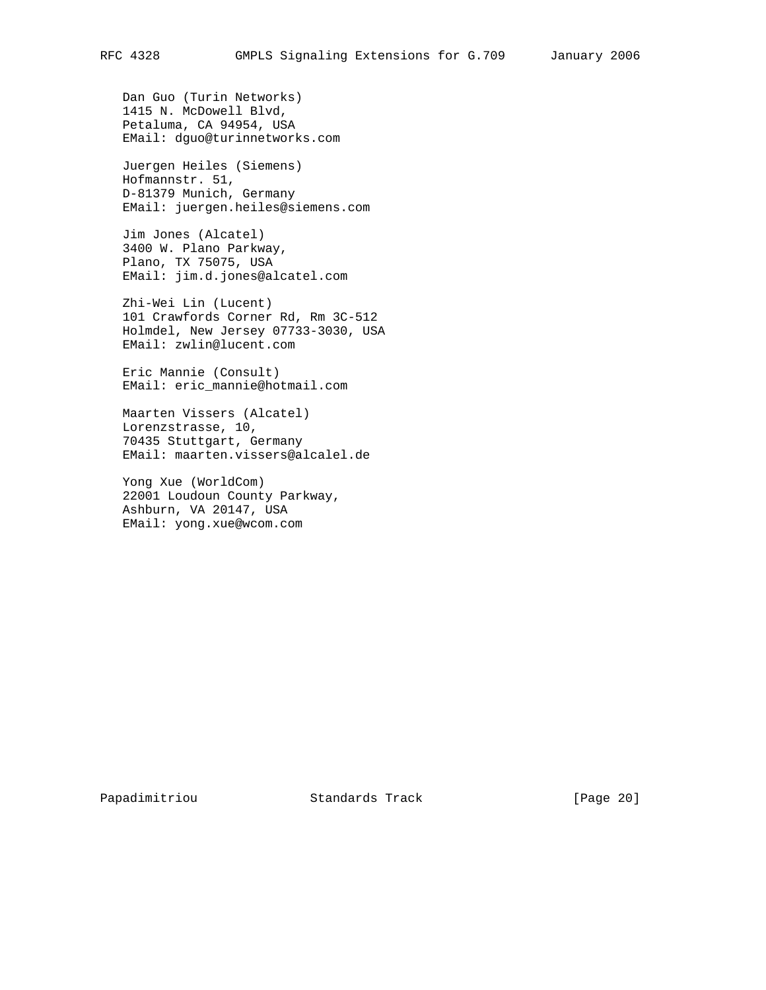Dan Guo (Turin Networks) 1415 N. McDowell Blvd, Petaluma, CA 94954, USA EMail: dguo@turinnetworks.com

 Juergen Heiles (Siemens) Hofmannstr. 51, D-81379 Munich, Germany EMail: juergen.heiles@siemens.com

 Jim Jones (Alcatel) 3400 W. Plano Parkway, Plano, TX 75075, USA EMail: jim.d.jones@alcatel.com

 Zhi-Wei Lin (Lucent) 101 Crawfords Corner Rd, Rm 3C-512 Holmdel, New Jersey 07733-3030, USA EMail: zwlin@lucent.com

 Eric Mannie (Consult) EMail: eric\_mannie@hotmail.com

 Maarten Vissers (Alcatel) Lorenzstrasse, 10, 70435 Stuttgart, Germany EMail: maarten.vissers@alcalel.de

 Yong Xue (WorldCom) 22001 Loudoun County Parkway, Ashburn, VA 20147, USA EMail: yong.xue@wcom.com

Papadimitriou **Standards Track** [Page 20]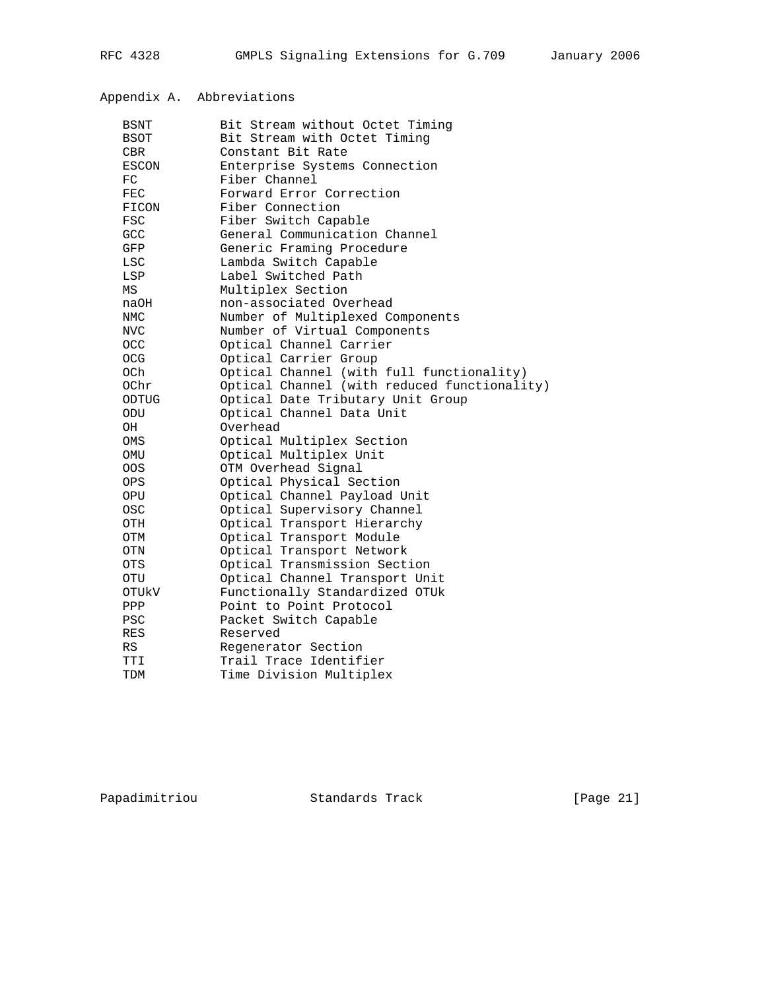# Appendix A. Abbreviations

| BSNT        | Bit Stream without Octet Timing              |
|-------------|----------------------------------------------|
| <b>BSOT</b> | Bit Stream with Octet Timing                 |
| <b>CBR</b>  | Constant Bit Rate                            |
| ESCON       | Enterprise Systems Connection                |
| FC          | Fiber Channel                                |
| ${\tt FEC}$ | Forward Error Correction                     |
| FICON       | Fiber Connection                             |
| <b>FSC</b>  | Fiber Switch Capable                         |
| <b>GCC</b>  | General Communication Channel                |
| GFP         | Generic Framing Procedure                    |
| LSC         | Lambda Switch Capable                        |
| LSP         | Label Switched Path                          |
| MS          | Multiplex Section                            |
| naOH        | non-associated Overhead                      |
| NMC         | Number of Multiplexed Components             |
| NVC         | Number of Virtual Components                 |
| OCC         | Optical Channel Carrier                      |
| <b>OCG</b>  | Optical Carrier Group                        |
| 0Ch         | Optical Channel (with full functionality)    |
| 0Chr        | Optical Channel (with reduced functionality) |
| ODTUG       | Optical Date Tributary Unit Group            |
| ODU         | Optical Channel Data Unit                    |
| OH          | Overhead                                     |
| OMS         | Optical Multiplex Section                    |
| OMU         | Optical Multiplex Unit                       |
| <b>OOS</b>  | OTM Overhead Signal                          |
| OPS.        | Optical Physical Section                     |
| OPU         | Optical Channel Payload Unit                 |
| <b>OSC</b>  | Optical Supervisory Channel                  |
| OTH         | Optical Transport Hierarchy                  |
| OTM         | Optical Transport Module                     |
| OTN         | Optical Transport Network                    |
| OTS.        | Optical Transmission Section                 |
| <b>OTU</b>  | Optical Channel Transport Unit               |
| OTUKV       | Functionally Standardized OTUk               |
| PPP         | Point to Point Protocol                      |
| <b>PSC</b>  | Packet Switch Capable                        |
| <b>RES</b>  | Reserved                                     |
| RS          | Regenerator Section                          |
| TTI         | Trail Trace Identifier                       |
| TDM         | Time Division Multiplex                      |
|             |                                              |

Papadimitriou Standards Track [Page 21]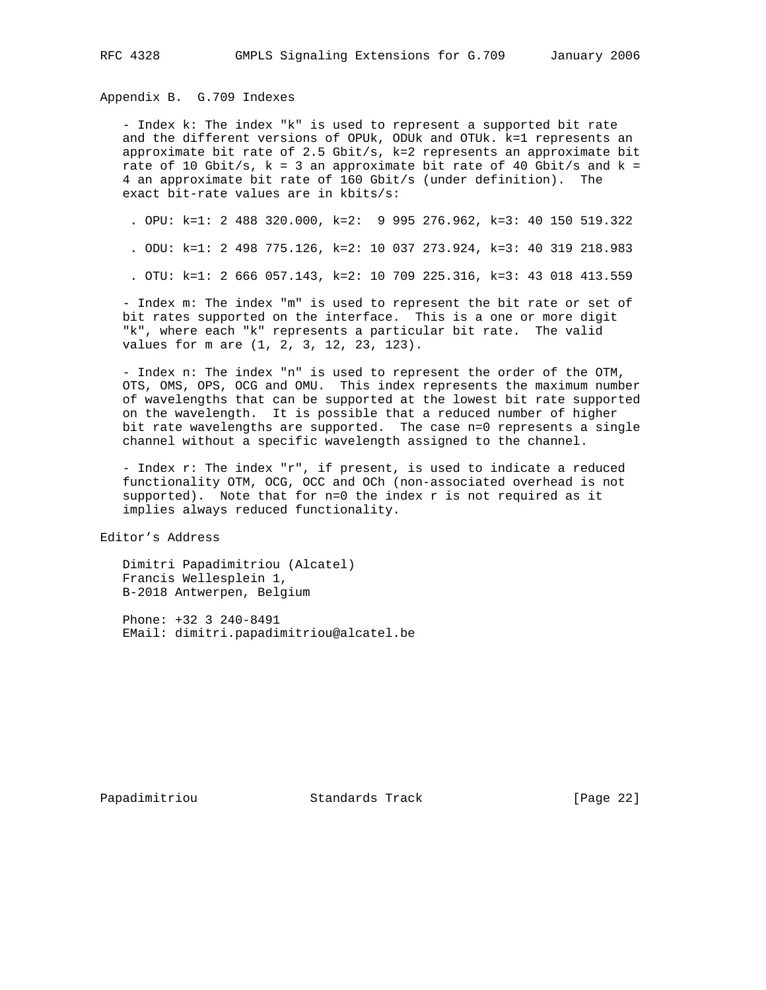Appendix B. G.709 Indexes

 - Index k: The index "k" is used to represent a supported bit rate and the different versions of OPUk, ODUk and OTUk. k=1 represents an approximate bit rate of 2.5 Gbit/s, k=2 represents an approximate bit rate of 10 Gbit/s,  $k = 3$  an approximate bit rate of 40 Gbit/s and  $k =$  4 an approximate bit rate of 160 Gbit/s (under definition). The exact bit-rate values are in kbits/s:

. OPU: k=1: 2 488 320.000, k=2: 9 995 276.962, k=3: 40 150 519.322

. ODU: k=1: 2 498 775.126, k=2: 10 037 273.924, k=3: 40 319 218.983

. OTU: k=1: 2 666 057.143, k=2: 10 709 225.316, k=3: 43 018 413.559

 - Index m: The index "m" is used to represent the bit rate or set of bit rates supported on the interface. This is a one or more digit "k", where each "k" represents a particular bit rate. The valid values for m are (1, 2, 3, 12, 23, 123).

 - Index n: The index "n" is used to represent the order of the OTM, OTS, OMS, OPS, OCG and OMU. This index represents the maximum number of wavelengths that can be supported at the lowest bit rate supported on the wavelength. It is possible that a reduced number of higher bit rate wavelengths are supported. The case n=0 represents a single channel without a specific wavelength assigned to the channel.

 - Index r: The index "r", if present, is used to indicate a reduced functionality OTM, OCG, OCC and OCh (non-associated overhead is not supported). Note that for  $n=0$  the index r is not required as it implies always reduced functionality.

Editor's Address

 Dimitri Papadimitriou (Alcatel) Francis Wellesplein 1, B-2018 Antwerpen, Belgium

 Phone: +32 3 240-8491 EMail: dimitri.papadimitriou@alcatel.be

Papadimitriou **Standards Track** [Page 22]